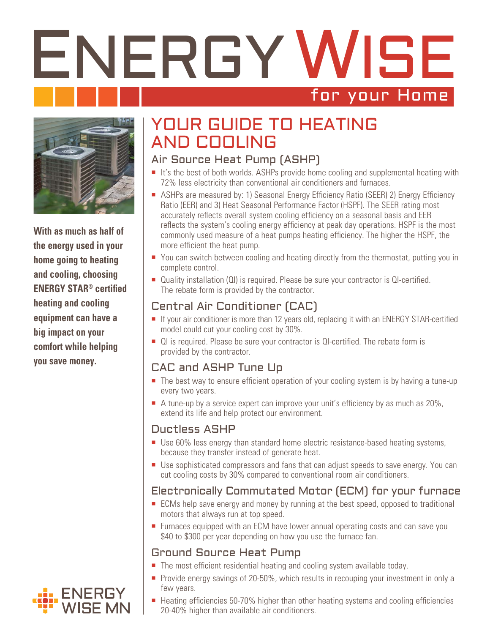# ENERGY WISE for your Home



**With as much as half of the energy used in your home going to heating and cooling, choosing ENERGY STAR® certified heating and cooling equipment can have a big impact on your comfort while helping you save money.**

# YOUR GUIDE TO HEATING AND COOLING

## Air Source Heat Pump (ASHP)

- $\blacksquare$  It's the best of both worlds. ASHPs provide home cooling and supplemental heating with 72% less electricity than conventional air conditioners and furnaces.
- ASHPs are measured by: 1) Seasonal Energy Efficiency Ratio (SEER) 2) Energy Efficiency Ratio (EER) and 3) Heat Seasonal Performance Factor (HSPF). The SEER rating most accurately reflects overall system cooling efficiency on a seasonal basis and EER reflects the system's cooling energy efficiency at peak day operations. HSPF is the most commonly used measure of a heat pumps heating efficiency. The higher the HSPF, the more efficient the heat pump.
- You can switch between cooling and heating directly from the thermostat, putting you in complete control.
- Quality installation (QI) is required. Please be sure your contractor is QI-certified. The rebate form is provided by the contractor.

## Central Air Conditioner (CAC)

- If your air conditioner is more than 12 years old, replacing it with an ENERGY STAR-certified model could cut your cooling cost by 30%.
- QI is required. Please be sure your contractor is QI-certified. The rebate form is provided by the contractor.

#### CAC and ASHP Tune Up

- The best way to ensure efficient operation of your cooling system is by having a tune-up every two years.
- $\blacksquare$  A tune-up by a service expert can improve your unit's efficiency by as much as 20%, extend its life and help protect our environment.

#### Ductless ASHP

- Use 60% less energy than standard home electric resistance-based heating systems, because they transfer instead of generate heat.
- Use sophisticated compressors and fans that can adjust speeds to save energy. You can cut cooling costs by 30% compared to conventional room air conditioners.

## Electronically Commutated Motor (ECM) for your furnace

- ECMs help save energy and money by running at the best speed, opposed to traditional motors that always run at top speed.
- **Furnaces equipped with an ECM have lower annual operating costs and can save you** \$40 to \$300 per year depending on how you use the furnace fan.

#### Ground Source Heat Pump

- The most efficient residential heating and cooling system available today.
- **Provide energy savings of 20-50%, which results in recouping your investment in only a** few years.
- Heating efficiencies 50-70% higher than other heating systems and cooling efficiencies 20-40% higher than available air conditioners.